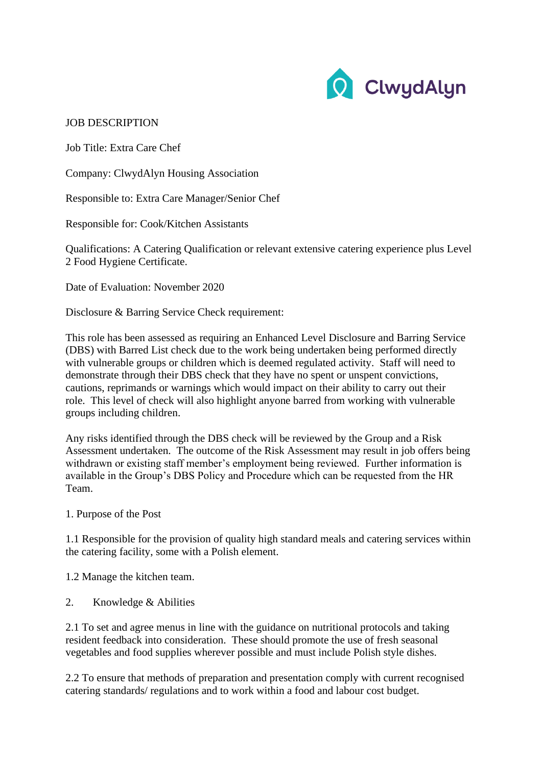

## JOB DESCRIPTION

Job Title: Extra Care Chef

Company: ClwydAlyn Housing Association

Responsible to: Extra Care Manager/Senior Chef

Responsible for: Cook/Kitchen Assistants

Qualifications: A Catering Qualification or relevant extensive catering experience plus Level 2 Food Hygiene Certificate.

Date of Evaluation: November 2020

Disclosure & Barring Service Check requirement:

This role has been assessed as requiring an Enhanced Level Disclosure and Barring Service (DBS) with Barred List check due to the work being undertaken being performed directly with vulnerable groups or children which is deemed regulated activity. Staff will need to demonstrate through their DBS check that they have no spent or unspent convictions, cautions, reprimands or warnings which would impact on their ability to carry out their role. This level of check will also highlight anyone barred from working with vulnerable groups including children.

Any risks identified through the DBS check will be reviewed by the Group and a Risk Assessment undertaken. The outcome of the Risk Assessment may result in job offers being withdrawn or existing staff member's employment being reviewed. Further information is available in the Group's DBS Policy and Procedure which can be requested from the HR Team.

1. Purpose of the Post

1.1 Responsible for the provision of quality high standard meals and catering services within the catering facility, some with a Polish element.

1.2 Manage the kitchen team.

2. Knowledge & Abilities

2.1 To set and agree menus in line with the guidance on nutritional protocols and taking resident feedback into consideration. These should promote the use of fresh seasonal vegetables and food supplies wherever possible and must include Polish style dishes.

2.2 To ensure that methods of preparation and presentation comply with current recognised catering standards/ regulations and to work within a food and labour cost budget.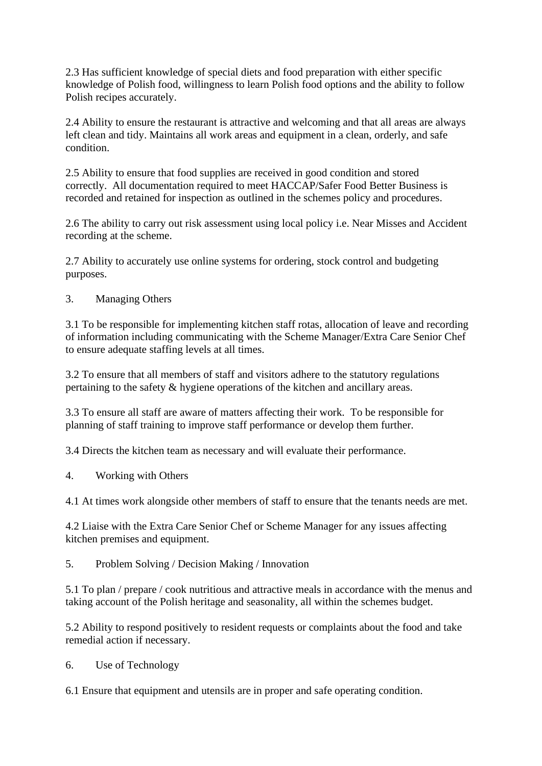2.3 Has sufficient knowledge of special diets and food preparation with either specific knowledge of Polish food, willingness to learn Polish food options and the ability to follow Polish recipes accurately.

2.4 Ability to ensure the restaurant is attractive and welcoming and that all areas are always left clean and tidy. Maintains all work areas and equipment in a clean, orderly, and safe condition.

2.5 Ability to ensure that food supplies are received in good condition and stored correctly. All documentation required to meet HACCAP/Safer Food Better Business is recorded and retained for inspection as outlined in the schemes policy and procedures.

2.6 The ability to carry out risk assessment using local policy i.e. Near Misses and Accident recording at the scheme.

2.7 Ability to accurately use online systems for ordering, stock control and budgeting purposes.

3. Managing Others

3.1 To be responsible for implementing kitchen staff rotas, allocation of leave and recording of information including communicating with the Scheme Manager/Extra Care Senior Chef to ensure adequate staffing levels at all times.

3.2 To ensure that all members of staff and visitors adhere to the statutory regulations pertaining to the safety & hygiene operations of the kitchen and ancillary areas.

3.3 To ensure all staff are aware of matters affecting their work. To be responsible for planning of staff training to improve staff performance or develop them further.

3.4 Directs the kitchen team as necessary and will evaluate their performance.

4. Working with Others

4.1 At times work alongside other members of staff to ensure that the tenants needs are met.

4.2 Liaise with the Extra Care Senior Chef or Scheme Manager for any issues affecting kitchen premises and equipment.

5. Problem Solving / Decision Making / Innovation

5.1 To plan / prepare / cook nutritious and attractive meals in accordance with the menus and taking account of the Polish heritage and seasonality, all within the schemes budget.

5.2 Ability to respond positively to resident requests or complaints about the food and take remedial action if necessary.

6. Use of Technology

6.1 Ensure that equipment and utensils are in proper and safe operating condition.